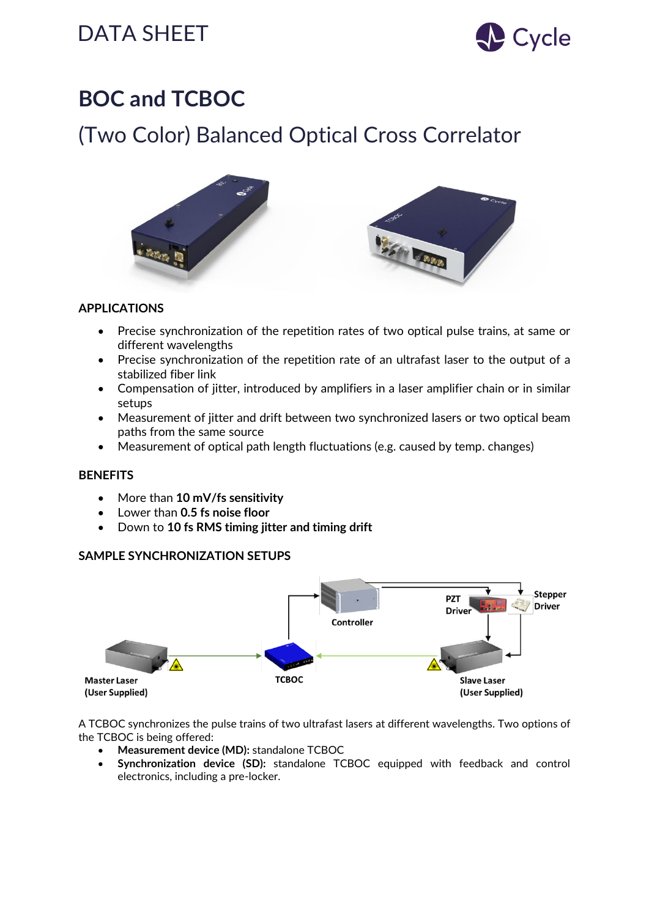# DATA SHEET SALL Cycle



# **BOC and TCBOC**

## (Two Color) Balanced Optical Cross Correlator





### **APPLICATIONS**

- Precise synchronization of the repetition rates of two optical pulse trains, at same or different wavelengths
- Precise synchronization of the repetition rate of an ultrafast laser to the output of a stabilized fiber link
- Compensation of jitter, introduced by amplifiers in a laser amplifier chain or in similar setups
- Measurement of jitter and drift between two synchronized lasers or two optical beam paths from the same source
- Measurement of optical path length fluctuations (e.g. caused by temp. changes)

### **BENEFITS**

- More than **10 mV/fs sensitivity**
- Lower than **0.5 fs noise floor**
- Down to **10 fs RMS timing jitter and timing drift**

### **SAMPLE SYNCHRONIZATION SETUPS**



A TCBOC synchronizes the pulse trains of two ultrafast lasers at different wavelengths. Two options of the TCBOC is being offered:

- **Measurement device (MD):** standalone TCBOC
- **Synchronization device (SD):** standalone TCBOC equipped with feedback and control electronics, including a pre-locker.